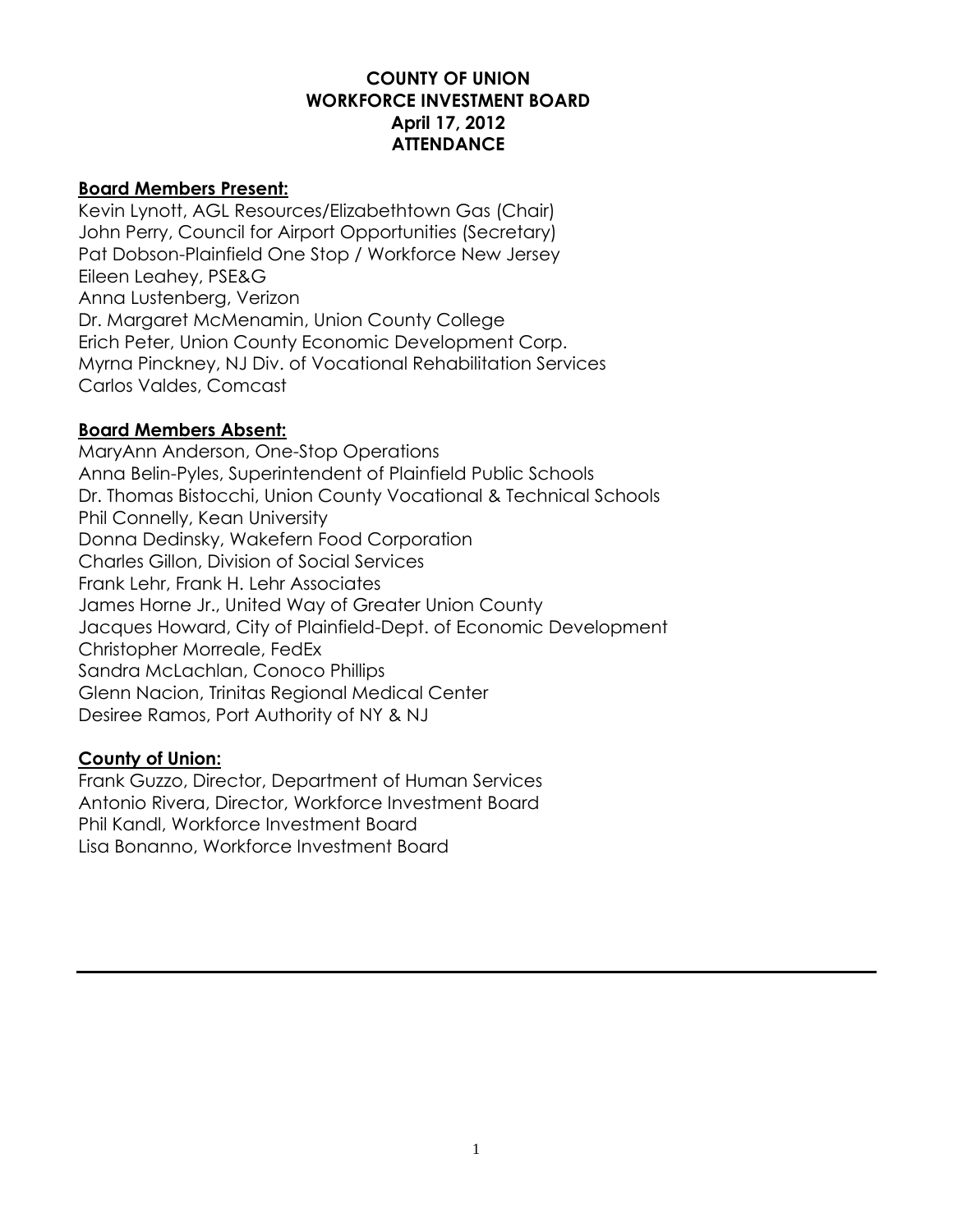# **COUNTY OF UNION WORKFORCE INVESTMENT BOARD April 17, 2012 ATTENDANCE**

#### **Board Members Present:**

Kevin Lynott, AGL Resources/Elizabethtown Gas (Chair) John Perry, Council for Airport Opportunities (Secretary) Pat Dobson-Plainfield One Stop / Workforce New Jersey Eileen Leahey, PSE&G Anna Lustenberg, Verizon Dr. Margaret McMenamin, Union County College Erich Peter, Union County Economic Development Corp. Myrna Pinckney, NJ Div. of Vocational Rehabilitation Services Carlos Valdes, Comcast

# **Board Members Absent:**

MaryAnn Anderson, One-Stop Operations Anna Belin-Pyles, Superintendent of Plainfield Public Schools Dr. Thomas Bistocchi, Union County Vocational & Technical Schools Phil Connelly, Kean University Donna Dedinsky, Wakefern Food Corporation Charles Gillon, Division of Social Services Frank Lehr, Frank H. Lehr Associates James Horne Jr., United Way of Greater Union County Jacques Howard, City of Plainfield-Dept. of Economic Development Christopher Morreale, FedEx Sandra McLachlan, Conoco Phillips Glenn Nacion, Trinitas Regional Medical Center Desiree Ramos, Port Authority of NY & NJ

#### **County of Union:**

Frank Guzzo, Director, Department of Human Services Antonio Rivera, Director, Workforce Investment Board Phil Kandl, Workforce Investment Board Lisa Bonanno, Workforce Investment Board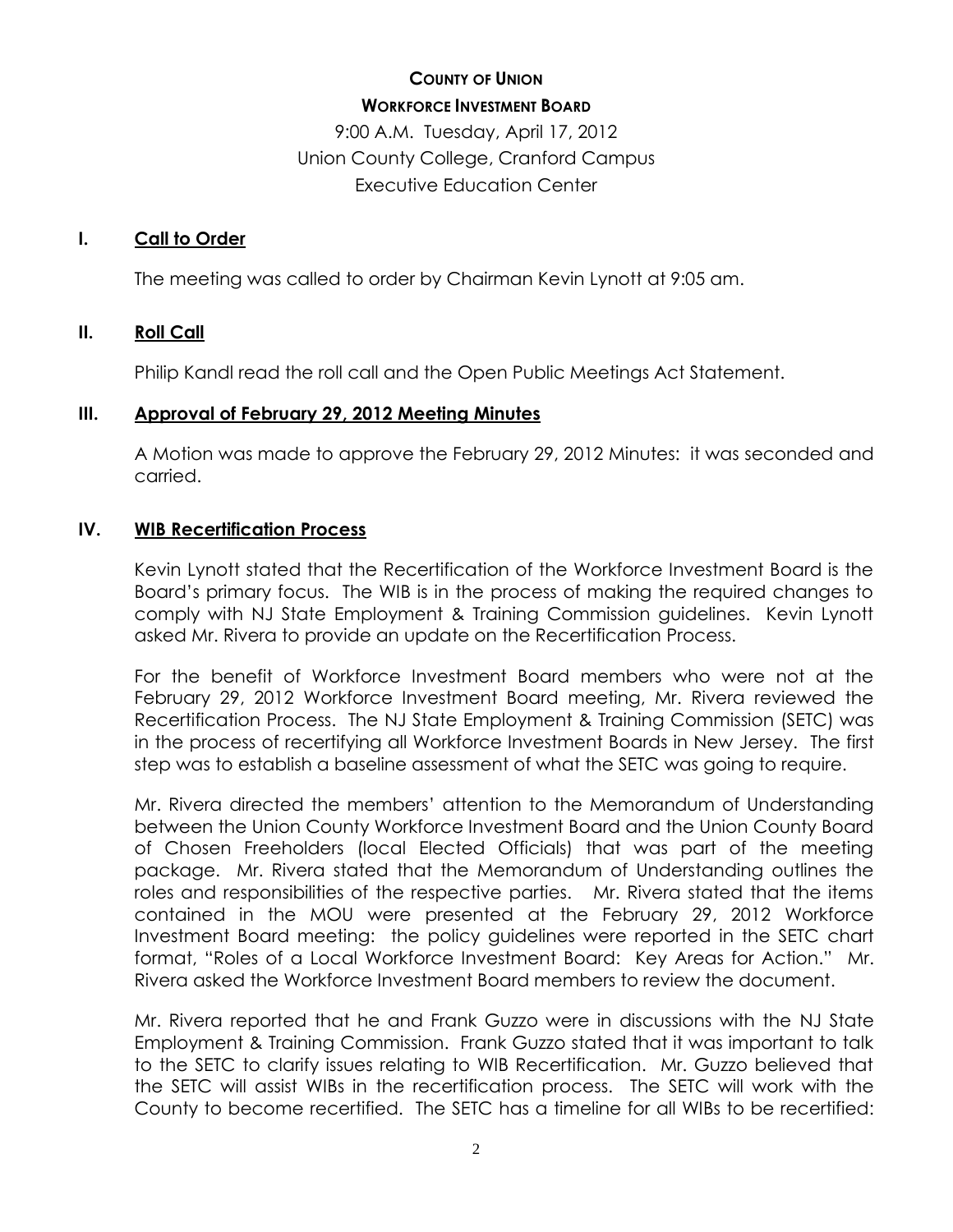# **COUNTY OF UNION WORKFORCE INVESTMENT BOARD**

9:00 A.M. Tuesday, April 17, 2012 Union County College, Cranford Campus Executive Education Center

# **I. Call to Order**

The meeting was called to order by Chairman Kevin Lynott at 9:05 am.

# **II. Roll Call**

Philip Kandl read the roll call and the Open Public Meetings Act Statement.

# **III. Approval of February 29, 2012 Meeting Minutes**

A Motion was made to approve the February 29, 2012 Minutes: it was seconded and carried.

# **IV. WIB Recertification Process**

Kevin Lynott stated that the Recertification of the Workforce Investment Board is the Board's primary focus. The WIB is in the process of making the required changes to comply with NJ State Employment & Training Commission guidelines. Kevin Lynott asked Mr. Rivera to provide an update on the Recertification Process.

For the benefit of Workforce Investment Board members who were not at the February 29, 2012 Workforce Investment Board meeting, Mr. Rivera reviewed the Recertification Process. The NJ State Employment & Training Commission (SETC) was in the process of recertifying all Workforce Investment Boards in New Jersey. The first step was to establish a baseline assessment of what the SETC was going to require.

Mr. Rivera directed the members' attention to the Memorandum of Understanding between the Union County Workforce Investment Board and the Union County Board of Chosen Freeholders (local Elected Officials) that was part of the meeting package. Mr. Rivera stated that the Memorandum of Understanding outlines the roles and responsibilities of the respective parties. Mr. Rivera stated that the items contained in the MOU were presented at the February 29, 2012 Workforce Investment Board meeting: the policy guidelines were reported in the SETC chart format, "Roles of a Local Workforce Investment Board: Key Areas for Action." Mr. Rivera asked the Workforce Investment Board members to review the document.

Mr. Rivera reported that he and Frank Guzzo were in discussions with the NJ State Employment & Training Commission. Frank Guzzo stated that it was important to talk to the SETC to clarify issues relating to WIB Recertification. Mr. Guzzo believed that the SETC will assist WIBs in the recertification process. The SETC will work with the County to become recertified. The SETC has a timeline for all WIBs to be recertified: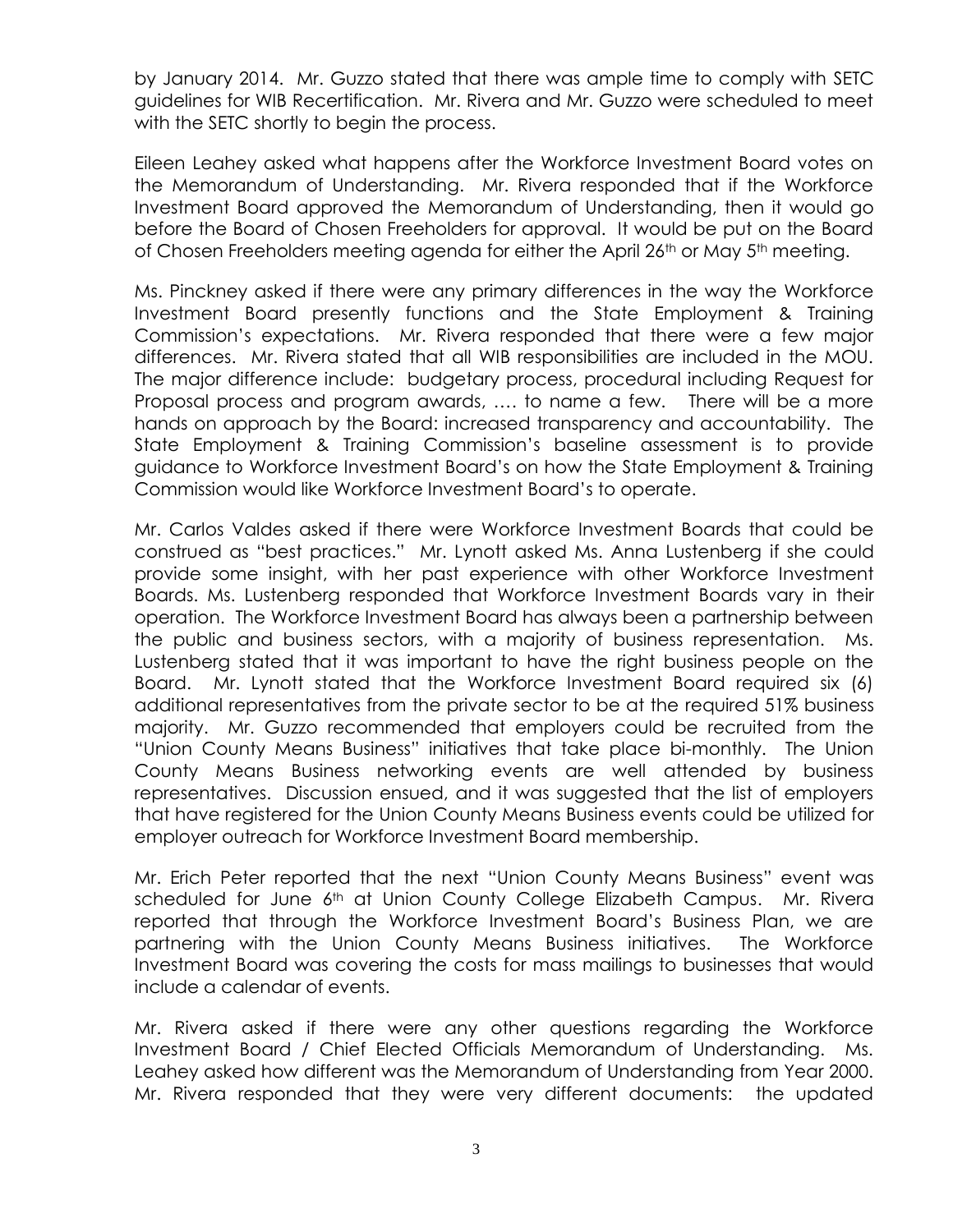by January 2014. Mr. Guzzo stated that there was ample time to comply with SETC guidelines for WIB Recertification. Mr. Rivera and Mr. Guzzo were scheduled to meet with the SETC shortly to begin the process.

Eileen Leahey asked what happens after the Workforce Investment Board votes on the Memorandum of Understanding. Mr. Rivera responded that if the Workforce Investment Board approved the Memorandum of Understanding, then it would go before the Board of Chosen Freeholders for approval. It would be put on the Board of Chosen Freeholders meeting agenda for either the April 26<sup>th</sup> or May 5<sup>th</sup> meeting.

Ms. Pinckney asked if there were any primary differences in the way the Workforce Investment Board presently functions and the State Employment & Training Commission's expectations. Mr. Rivera responded that there were a few major differences. Mr. Rivera stated that all WIB responsibilities are included in the MOU. The major difference include: budgetary process, procedural including Request for Proposal process and program awards, …. to name a few. There will be a more hands on approach by the Board: increased transparency and accountability. The State Employment & Training Commission's baseline assessment is to provide guidance to Workforce Investment Board's on how the State Employment & Training Commission would like Workforce Investment Board's to operate.

Mr. Carlos Valdes asked if there were Workforce Investment Boards that could be construed as "best practices." Mr. Lynott asked Ms. Anna Lustenberg if she could provide some insight, with her past experience with other Workforce Investment Boards. Ms. Lustenberg responded that Workforce Investment Boards vary in their operation. The Workforce Investment Board has always been a partnership between the public and business sectors, with a majority of business representation. Ms. Lustenberg stated that it was important to have the right business people on the Board. Mr. Lynott stated that the Workforce Investment Board required six (6) additional representatives from the private sector to be at the required 51% business majority. Mr. Guzzo recommended that employers could be recruited from the "Union County Means Business" initiatives that take place bi-monthly. The Union County Means Business networking events are well attended by business representatives. Discussion ensued, and it was suggested that the list of employers that have registered for the Union County Means Business events could be utilized for employer outreach for Workforce Investment Board membership.

Mr. Erich Peter reported that the next "Union County Means Business" event was scheduled for June 6<sup>th</sup> at Union County College Elizabeth Campus. Mr. Rivera reported that through the Workforce Investment Board's Business Plan, we are partnering with the Union County Means Business initiatives. The Workforce Investment Board was covering the costs for mass mailings to businesses that would include a calendar of events.

Mr. Rivera asked if there were any other questions regarding the Workforce Investment Board / Chief Elected Officials Memorandum of Understanding. Ms. Leahey asked how different was the Memorandum of Understanding from Year 2000. Mr. Rivera responded that they were very different documents: the updated